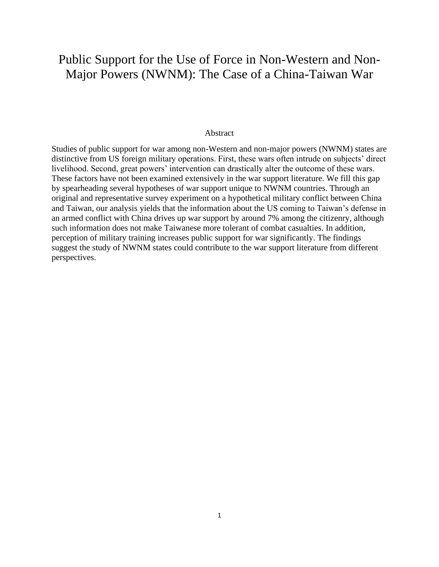# Public Support for the Use of Force in Non-Western and Non-Major Powers (NWNM): The Case of a China-Taiwan War

#### **Abstract**

Studies of public support for war among non-Western and non-major powers (NWNM) states are distinctive from US foreign military operations. First, these wars often intrude on subjects' direct livelihood. Second, great powers' intervention can drastically alter the outcome of these wars. These factors have not been examined extensively in the war support literature. We fill this gap by spearheading several hypotheses of war support unique to NWNM countries. Through an original and representative survey experiment on a hypothetical military conflict between China and Taiwan, our analysis yields that the information about the US coming to Taiwan's defense in an armed conflict with China drives up war support by around 7% among the citizenry, although such information does not make Taiwanese more tolerant of combat casualties. In addition, perception of military training increases public support for war significantly. The findings suggest the study of NWNM states could contribute to the war support literature from different perspectives.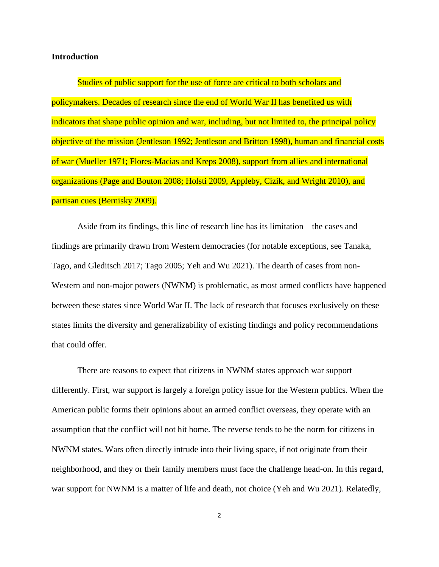# **Introduction**

Studies of public support for the use of force are critical to both scholars and policymakers. Decades of research since the end of World War II has benefited us with indicators that shape public opinion and war, including, but not limited to, the principal policy objective of the mission (Jentleson 1992; Jentleson and Britton 1998), human and financial costs of war (Mueller 1971; Flores-Macias and Kreps 2008), support from allies and international organizations (Page and Bouton 2008; Holsti 2009, Appleby, Cizik, and Wright 2010), and partisan cues (Bernisky 2009).

Aside from its findings, this line of research line has its limitation – the cases and findings are primarily drawn from Western democracies (for notable exceptions, see Tanaka, Tago, and Gleditsch 2017; Tago 2005; Yeh and Wu 2021). The dearth of cases from non-Western and non-major powers (NWNM) is problematic, as most armed conflicts have happened between these states since World War II. The lack of research that focuses exclusively on these states limits the diversity and generalizability of existing findings and policy recommendations that could offer.

There are reasons to expect that citizens in NWNM states approach war support differently. First, war support is largely a foreign policy issue for the Western publics. When the American public forms their opinions about an armed conflict overseas, they operate with an assumption that the conflict will not hit home. The reverse tends to be the norm for citizens in NWNM states. Wars often directly intrude into their living space, if not originate from their neighborhood, and they or their family members must face the challenge head-on. In this regard, war support for NWNM is a matter of life and death, not choice (Yeh and Wu 2021). Relatedly,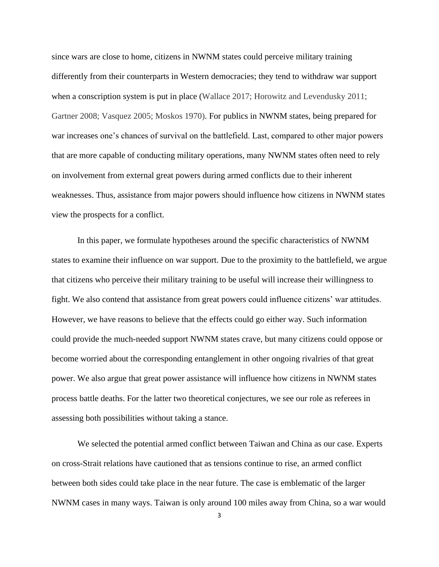since wars are close to home, citizens in NWNM states could perceive military training differently from their counterparts in Western democracies; they tend to withdraw war support when a conscription system is put in place (Wallace 2017; Horowitz and Levendusky 2011; Gartner 2008; Vasquez 2005; Moskos 1970). For publics in NWNM states, being prepared for war increases one's chances of survival on the battlefield. Last, compared to other major powers that are more capable of conducting military operations, many NWNM states often need to rely on involvement from external great powers during armed conflicts due to their inherent weaknesses. Thus, assistance from major powers should influence how citizens in NWNM states view the prospects for a conflict.

In this paper, we formulate hypotheses around the specific characteristics of NWNM states to examine their influence on war support. Due to the proximity to the battlefield, we argue that citizens who perceive their military training to be useful will increase their willingness to fight. We also contend that assistance from great powers could influence citizens' war attitudes. However, we have reasons to believe that the effects could go either way. Such information could provide the much-needed support NWNM states crave, but many citizens could oppose or become worried about the corresponding entanglement in other ongoing rivalries of that great power. We also argue that great power assistance will influence how citizens in NWNM states process battle deaths. For the latter two theoretical conjectures, we see our role as referees in assessing both possibilities without taking a stance.

We selected the potential armed conflict between Taiwan and China as our case. Experts on cross-Strait relations have cautioned that as tensions continue to rise, an armed conflict between both sides could take place in the near future. The case is emblematic of the larger NWNM cases in many ways. Taiwan is only around 100 miles away from China, so a war would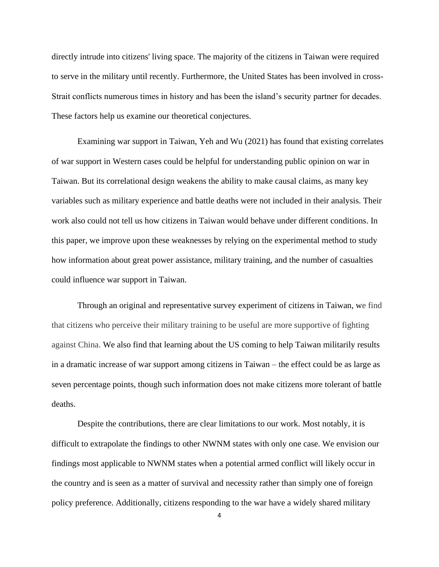directly intrude into citizens' living space. The majority of the citizens in Taiwan were required to serve in the military until recently. Furthermore, the United States has been involved in cross-Strait conflicts numerous times in history and has been the island's security partner for decades. These factors help us examine our theoretical conjectures.

Examining war support in Taiwan, Yeh and Wu (2021) has found that existing correlates of war support in Western cases could be helpful for understanding public opinion on war in Taiwan. But its correlational design weakens the ability to make causal claims, as many key variables such as military experience and battle deaths were not included in their analysis. Their work also could not tell us how citizens in Taiwan would behave under different conditions. In this paper, we improve upon these weaknesses by relying on the experimental method to study how information about great power assistance, military training, and the number of casualties could influence war support in Taiwan.

Through an original and representative survey experiment of citizens in Taiwan, we find that citizens who perceive their military training to be useful are more supportive of fighting against China. We also find that learning about the US coming to help Taiwan militarily results in a dramatic increase of war support among citizens in Taiwan – the effect could be as large as seven percentage points, though such information does not make citizens more tolerant of battle deaths.

Despite the contributions, there are clear limitations to our work. Most notably, it is difficult to extrapolate the findings to other NWNM states with only one case. We envision our findings most applicable to NWNM states when a potential armed conflict will likely occur in the country and is seen as a matter of survival and necessity rather than simply one of foreign policy preference. Additionally, citizens responding to the war have a widely shared military

4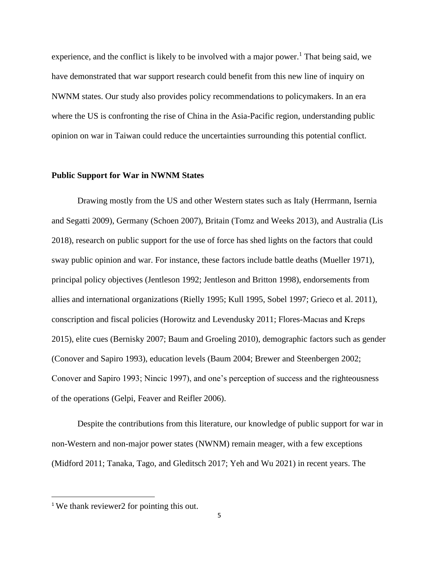experience, and the conflict is likely to be involved with a major power.<sup>1</sup> That being said, we have demonstrated that war support research could benefit from this new line of inquiry on NWNM states. Our study also provides policy recommendations to policymakers. In an era where the US is confronting the rise of China in the Asia-Pacific region, understanding public opinion on war in Taiwan could reduce the uncertainties surrounding this potential conflict.

## **Public Support for War in NWNM States**

Drawing mostly from the US and other Western states such as Italy (Herrmann, Isernia and Segatti 2009), Germany (Schoen 2007), Britain (Tomz and Weeks 2013), and Australia (Lis 2018), research on public support for the use of force has shed lights on the factors that could sway public opinion and war. For instance, these factors include battle deaths (Mueller 1971), principal policy objectives (Jentleson 1992; Jentleson and Britton 1998), endorsements from allies and international organizations (Rielly 1995; Kull 1995, Sobel 1997; Grieco et al. 2011), conscription and fiscal policies (Horowitz and Levendusky 2011; Flores-Macıas and Kreps 2015), elite cues (Bernisky 2007; Baum and Groeling 2010), demographic factors such as gender (Conover and Sapiro 1993), education levels (Baum 2004; Brewer and Steenbergen 2002; Conover and Sapiro 1993; Nincic 1997), and one's perception of success and the righteousness of the operations (Gelpi, Feaver and Reifler 2006).

Despite the contributions from this literature, our knowledge of public support for war in non-Western and non-major power states (NWNM) remain meager, with a few exceptions (Midford 2011; Tanaka, Tago, and Gleditsch 2017; Yeh and Wu 2021) in recent years. The

<sup>&</sup>lt;sup>1</sup> We thank reviewer2 for pointing this out.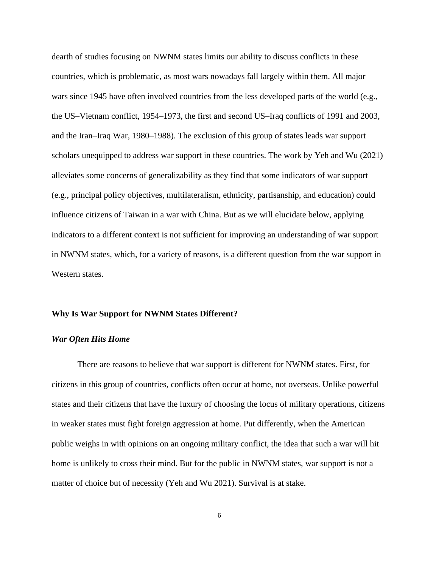dearth of studies focusing on NWNM states limits our ability to discuss conflicts in these countries, which is problematic, as most wars nowadays fall largely within them. All major wars since 1945 have often involved countries from the less developed parts of the world (e.g., the US–Vietnam conflict, 1954–1973, the first and second US–Iraq conflicts of 1991 and 2003, and the Iran–Iraq War, 1980–1988). The exclusion of this group of states leads war support scholars unequipped to address war support in these countries. The work by Yeh and Wu (2021) alleviates some concerns of generalizability as they find that some indicators of war support (e.g., principal policy objectives, multilateralism, ethnicity, partisanship, and education) could influence citizens of Taiwan in a war with China. But as we will elucidate below, applying indicators to a different context is not sufficient for improving an understanding of war support in NWNM states, which, for a variety of reasons, is a different question from the war support in Western states.

#### **Why Is War Support for NWNM States Different?**

## *War Often Hits Home*

There are reasons to believe that war support is different for NWNM states. First, for citizens in this group of countries, conflicts often occur at home, not overseas. Unlike powerful states and their citizens that have the luxury of choosing the locus of military operations, citizens in weaker states must fight foreign aggression at home. Put differently, when the American public weighs in with opinions on an ongoing military conflict, the idea that such a war will hit home is unlikely to cross their mind. But for the public in NWNM states, war support is not a matter of choice but of necessity (Yeh and Wu 2021). Survival is at stake.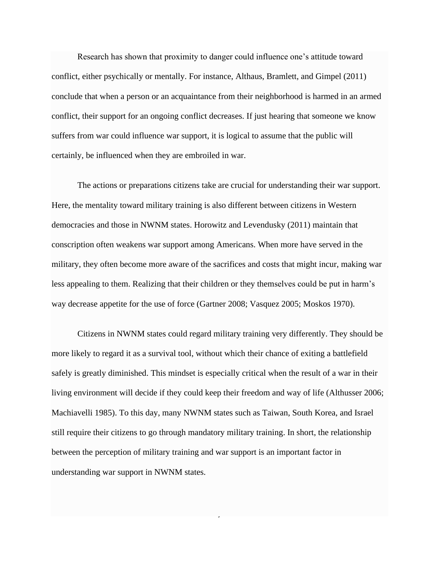Research has shown that proximity to danger could influence one's attitude toward conflict, either psychically or mentally. For instance, Althaus, Bramlett, and Gimpel (2011) conclude that when a person or an acquaintance from their neighborhood is harmed in an armed conflict, their support for an ongoing conflict decreases. If just hearing that someone we know suffers from war could influence war support, it is logical to assume that the public will certainly, be influenced when they are embroiled in war.

The actions or preparations citizens take are crucial for understanding their war support. Here, the mentality toward military training is also different between citizens in Western democracies and those in NWNM states. Horowitz and Levendusky (2011) maintain that conscription often weakens war support among Americans. When more have served in the military, they often become more aware of the sacrifices and costs that might incur, making war less appealing to them. Realizing that their children or they themselves could be put in harm's way decrease appetite for the use of force (Gartner 2008; Vasquez 2005; Moskos 1970).

Citizens in NWNM states could regard military training very differently. They should be more likely to regard it as a survival tool, without which their chance of exiting a battlefield safely is greatly diminished. This mindset is especially critical when the result of a war in their living environment will decide if they could keep their freedom and way of life (Althusser 2006; Machiavelli 1985). To this day, many NWNM states such as Taiwan, South Korea, and Israel still require their citizens to go through mandatory military training. In short, the relationship between the perception of military training and war support is an important factor in understanding war support in NWNM states.

7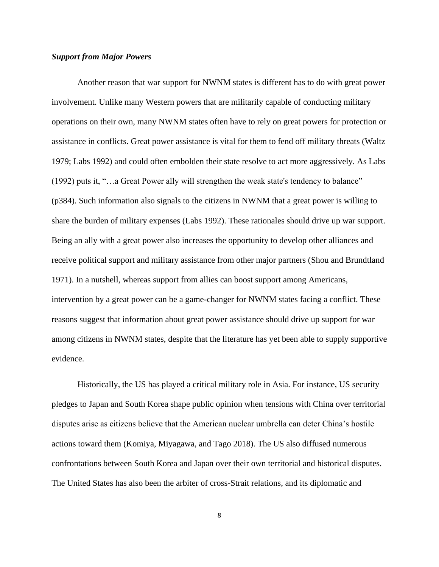# *Support from Major Powers*

Another reason that war support for NWNM states is different has to do with great power involvement. Unlike many Western powers that are militarily capable of conducting military operations on their own, many NWNM states often have to rely on great powers for protection or assistance in conflicts. Great power assistance is vital for them to fend off military threats (Waltz 1979; Labs 1992) and could often embolden their state resolve to act more aggressively. As Labs (1992) puts it, "…a Great Power ally will strengthen the weak state's tendency to balance" (p384). Such information also signals to the citizens in NWNM that a great power is willing to share the burden of military expenses (Labs 1992). These rationales should drive up war support. Being an ally with a great power also increases the opportunity to develop other alliances and receive political support and military assistance from other major partners (Shou and Brundtland 1971). In a nutshell, whereas support from allies can boost support among Americans, intervention by a great power can be a game-changer for NWNM states facing a conflict. These reasons suggest that information about great power assistance should drive up support for war among citizens in NWNM states, despite that the literature has yet been able to supply supportive evidence.

Historically, the US has played a critical military role in Asia. For instance, US security pledges to Japan and South Korea shape public opinion when tensions with China over territorial disputes arise as citizens believe that the American nuclear umbrella can deter China's hostile actions toward them (Komiya, Miyagawa, and Tago 2018). The US also diffused numerous confrontations between South Korea and Japan over their own territorial and historical disputes. The United States has also been the arbiter of cross-Strait relations, and its diplomatic and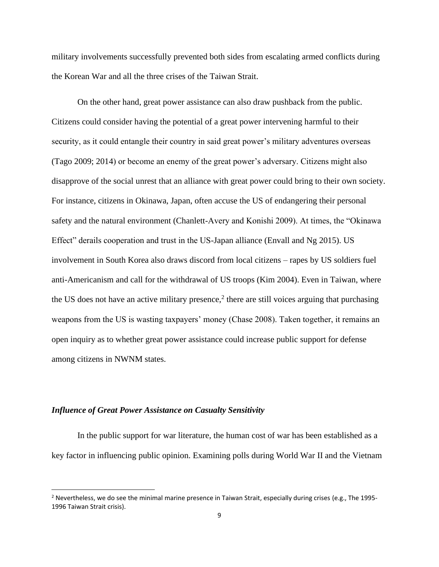military involvements successfully prevented both sides from escalating armed conflicts during the Korean War and all the three crises of the Taiwan Strait.

On the other hand, great power assistance can also draw pushback from the public. Citizens could consider having the potential of a great power intervening harmful to their security, as it could entangle their country in said great power's military adventures overseas (Tago [2009;](https://link-springer-com.ezproxy.lib.purdue.edu/chapter/10.1007/978-981-10-7968-9_7#CR37) [2014\)](https://link-springer-com.ezproxy.lib.purdue.edu/chapter/10.1007/978-981-10-7968-9_7#CR39) or become an enemy of the great power's adversary. Citizens might also disapprove of the social unrest that an alliance with great power could bring to their own society. For instance, citizens in Okinawa, Japan, often accuse the US of endangering their personal safety and the natural environment (Chanlett-Avery and Konishi 2009). At times, the "Okinawa Effect" derails cooperation and trust in the US-Japan alliance (Envall and Ng 2015). US involvement in South Korea also draws discord from local citizens – rapes by US soldiers fuel anti-Americanism and call for the withdrawal of US troops (Kim 2004). Even in Taiwan, where the US does not have an active military presence, $2$  there are still voices arguing that purchasing weapons from the US is wasting taxpayers' money (Chase 2008). Taken together, it remains an open inquiry as to whether great power assistance could increase public support for defense among citizens in NWNM states.

# *Influence of Great Power Assistance on Casualty Sensitivity*

In the public support for war literature, the human cost of war has been established as a key factor in influencing public opinion. Examining polls during World War II and the Vietnam

<sup>&</sup>lt;sup>2</sup> Nevertheless, we do see the minimal marine presence in Taiwan Strait, especially during crises (e.g., The 1995-1996 Taiwan Strait crisis).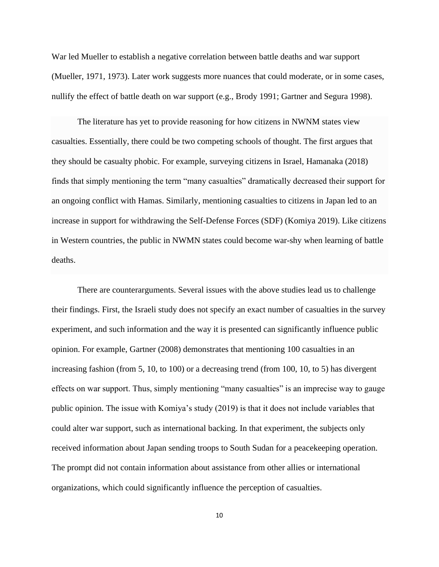War led Mueller to establish a negative correlation between battle deaths and war support (Mueller, 1971, 1973). Later work suggests more nuances that could moderate, or in some cases, nullify the effect of battle death on war support (e.g., Brody 1991; Gartner and Segura 1998).

The literature has yet to provide reasoning for how citizens in NWNM states view casualties. Essentially, there could be two competing schools of thought. The first argues that they should be casualty phobic. For example, surveying citizens in Israel, Hamanaka (2018) finds that simply mentioning the term "many casualties" dramatically decreased their support for an ongoing conflict with Hamas. Similarly, mentioning casualties to citizens in Japan led to an increase in support for withdrawing the Self-Defense Forces (SDF) (Komiya 2019). Like citizens in Western countries, the public in NWMN states could become war-shy when learning of battle deaths.

There are counterarguments. Several issues with the above studies lead us to challenge their findings. First, the Israeli study does not specify an exact number of casualties in the survey experiment, and such information and the way it is presented can significantly influence public opinion. For example, Gartner (2008) demonstrates that mentioning 100 casualties in an increasing fashion (from 5, 10, to 100) or a decreasing trend (from 100, 10, to 5) has divergent effects on war support. Thus, simply mentioning "many casualties" is an imprecise way to gauge public opinion. The issue with Komiya's study (2019) is that it does not include variables that could alter war support, such as international backing. In that experiment, the subjects only received information about Japan sending troops to South Sudan for a peacekeeping operation. The prompt did not contain information about assistance from other allies or international organizations, which could significantly influence the perception of casualties.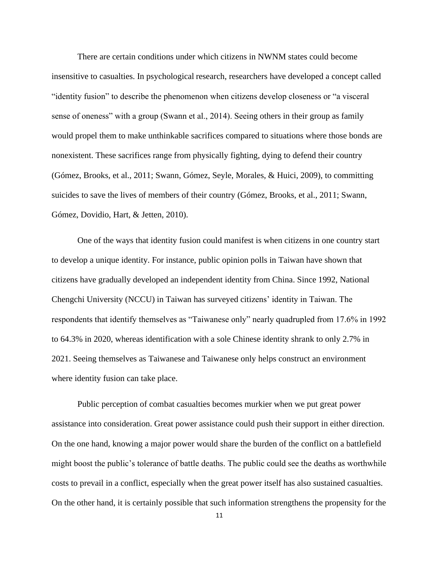There are certain conditions under which citizens in NWNM states could become insensitive to casualties. In psychological research, researchers have developed a concept called "identity fusion" to describe the phenomenon when citizens develop closeness or "a visceral sense of oneness" with a group (Swann et al., 2014). Seeing others in their group as family would propel them to make unthinkable sacrifices compared to situations where those bonds are nonexistent. These sacrifices range from physically fighting, dying to defend their country (Gómez, Brooks, et al., 2011; Swann, Gómez, Seyle, Morales, & Huici, 2009), to committing suicides to save the lives of members of their country (Gómez, Brooks, et al., 2011; Swann, Gómez, Dovidio, Hart, & Jetten, 2010).

One of the ways that identity fusion could manifest is when citizens in one country start to develop a unique identity. For instance, public opinion polls in Taiwan have shown that citizens have gradually developed an independent identity from China. Since 1992, National Chengchi University (NCCU) in Taiwan has surveyed citizens' identity in Taiwan. The respondents that identify themselves as "Taiwanese only" nearly quadrupled from 17.6% in 1992 to 64.3% in 2020, whereas identification with a sole Chinese identity shrank to only 2.7% in 2021. Seeing themselves as Taiwanese and Taiwanese only helps construct an environment where identity fusion can take place.

Public perception of combat casualties becomes murkier when we put great power assistance into consideration. Great power assistance could push their support in either direction. On the one hand, knowing a major power would share the burden of the conflict on a battlefield might boost the public's tolerance of battle deaths. The public could see the deaths as worthwhile costs to prevail in a conflict, especially when the great power itself has also sustained casualties. On the other hand, it is certainly possible that such information strengthens the propensity for the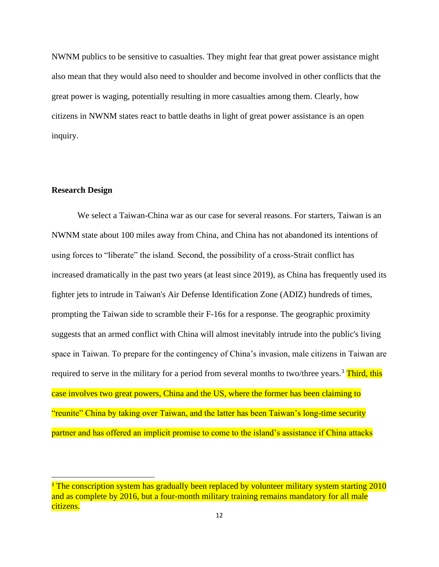NWNM publics to be sensitive to casualties. They might fear that great power assistance might also mean that they would also need to shoulder and become involved in other conflicts that the great power is waging, potentially resulting in more casualties among them. Clearly, how citizens in NWNM states react to battle deaths in light of great power assistance is an open inquiry.

# **Research Design**

We select a Taiwan-China war as our case for several reasons. For starters, Taiwan is an NWNM state about 100 miles away from China, and China has not abandoned its intentions of using forces to "liberate" the island. Second, the possibility of a cross-Strait conflict has increased dramatically in the past two years (at least since 2019), as China has frequently used its fighter jets to intrude in Taiwan's Air Defense Identification Zone (ADIZ) hundreds of times, prompting the Taiwan side to scramble their F-16s for a response. The geographic proximity suggests that an armed conflict with China will almost inevitably intrude into the public's living space in Taiwan. To prepare for the contingency of China's invasion, male citizens in Taiwan are required to serve in the military for a period from several months to two/three years.<sup>3</sup> Third, this case involves two great powers, China and the US, where the former has been claiming to "reunite" China by taking over Taiwan, and the latter has been Taiwan's long-time security partner and has offered an implicit promise to come to the island's assistance if China attacks

<sup>&</sup>lt;sup>3</sup> The conscription system has gradually been replaced by volunteer military system starting 2010 and as complete by 2016, but a four-month military training remains mandatory for all male citizens.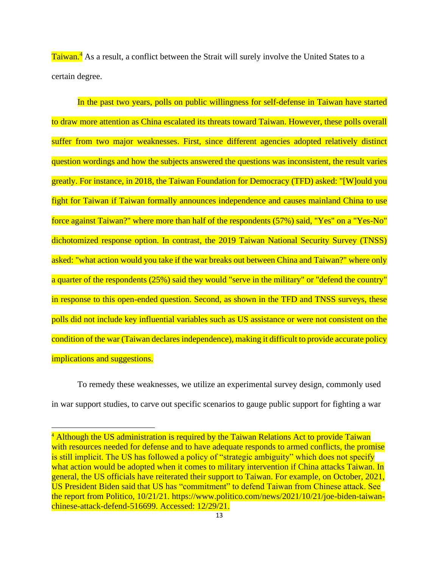Taiwan.<sup>4</sup> As a result, a conflict between the Strait will surely involve the United States to a certain degree.

In the past two years, polls on public willingness for self-defense in Taiwan have started to draw more attention as China escalated its threats toward Taiwan. However, these polls overall suffer from two major weaknesses. First, since different agencies adopted relatively distinct question wordings and how the subjects answered the questions was inconsistent, the result varies greatly. For instance, in 2018, the Taiwan Foundation for Democracy (TFD) asked: "[W]ould you fight for Taiwan if Taiwan formally announces independence and causes mainland China to use force against Taiwan?" where more than half of the respondents (57%) said, "Yes" on a "Yes-No" dichotomized response option. In contrast, the 2019 Taiwan National Security Survey (TNSS) asked: "what action would you take if the war breaks out between China and Taiwan?" where only a quarter of the respondents (25%) said they would "serve in the military" or "defend the country" in response to this open-ended question. Second, as shown in the TFD and TNSS surveys, these polls did not include key influential variables such as US assistance or were not consistent on the condition of the war (Taiwan declares independence), making it difficult to provide accurate policy implications and suggestions.

To remedy these weaknesses, we utilize an experimental survey design, commonly used in war support studies, to carve out specific scenarios to gauge public support for fighting a war

<sup>&</sup>lt;sup>4</sup> Although the US administration is required by the Taiwan Relations Act to provide Taiwan with resources needed for defense and to have adequate responds to armed conflicts, the promise is still implicit. The US has followed a policy of "strategic ambiguity" which does not specify what action would be adopted when it comes to military intervention if China attacks Taiwan. In general, the US officials have reiterated their support to Taiwan. For example, on October, 2021, US President Biden said that US has "commitment" to defend Taiwan from Chinese attack. See the report from Politico, 10/21/21. https://www.politico.com/news/2021/10/21/joe-biden-taiwanchinese-attack-defend-516699. Accessed: 12/29/21.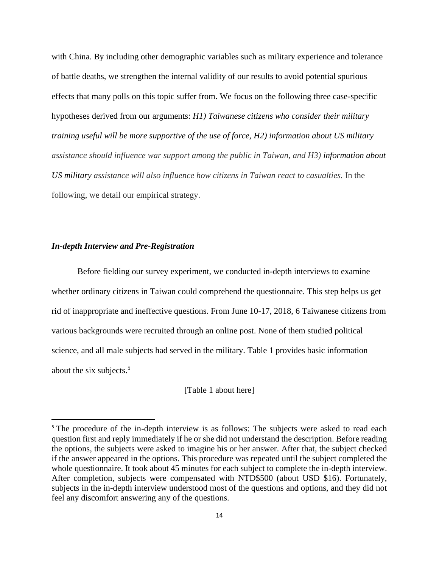with China. By including other demographic variables such as military experience and tolerance of battle deaths, we strengthen the internal validity of our results to avoid potential spurious effects that many polls on this topic suffer from. We focus on the following three case-specific hypotheses derived from our arguments: *H1) Taiwanese citizens who consider their military training useful will be more supportive of the use of force, H2) information about US military assistance should influence war support among the public in Taiwan, and H3) information about US military assistance will also influence how citizens in Taiwan react to casualties.* In the following, we detail our empirical strategy.

# *In-depth Interview and Pre-Registration*

Before fielding our survey experiment, we conducted in-depth interviews to examine whether ordinary citizens in Taiwan could comprehend the questionnaire. This step helps us get rid of inappropriate and ineffective questions. From June 10-17, 2018, 6 Taiwanese citizens from various backgrounds were recruited through an online post. None of them studied political science, and all male subjects had served in the military. Table 1 provides basic information about the six subjects.<sup>5</sup>

[Table 1 about here]

<sup>&</sup>lt;sup>5</sup> The procedure of the in-depth interview is as follows: The subjects were asked to read each question first and reply immediately if he or she did not understand the description. Before reading the options, the subjects were asked to imagine his or her answer. After that, the subject checked if the answer appeared in the options. This procedure was repeated until the subject completed the whole questionnaire. It took about 45 minutes for each subject to complete the in-depth interview. After completion, subjects were compensated with NTD\$500 (about USD \$16). Fortunately, subjects in the in-depth interview understood most of the questions and options, and they did not feel any discomfort answering any of the questions.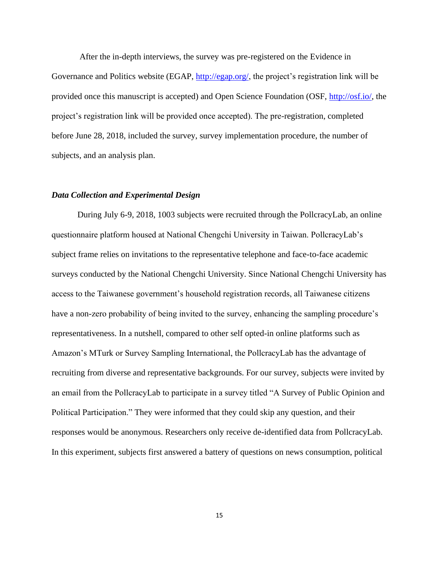After the in-depth interviews, the survey was pre-registered on the Evidence in Governance and Politics website (EGAP, [http://egap.org/,](http://egap.org/) the project's registration link will be provided once this manuscript is accepted) and Open Science Foundation (OSF, [http://osf.io/,](http://osf.io/) the project's registration link will be provided once accepted). The pre-registration, completed before June 28, 2018, included the survey, survey implementation procedure, the number of subjects, and an analysis plan.

## *Data Collection and Experimental Design*

During July 6-9, 2018, 1003 subjects were recruited through the PollcracyLab, an online questionnaire platform housed at National Chengchi University in Taiwan. PollcracyLab's subject frame relies on invitations to the representative telephone and face-to-face academic surveys conducted by the National Chengchi University. Since National Chengchi University has access to the Taiwanese government's household registration records, all Taiwanese citizens have a non-zero probability of being invited to the survey, enhancing the sampling procedure's representativeness. In a nutshell, compared to other self opted-in online platforms such as Amazon's MTurk or Survey Sampling International, the PollcracyLab has the advantage of recruiting from diverse and representative backgrounds. For our survey, subjects were invited by an email from the PollcracyLab to participate in a survey titled "A Survey of Public Opinion and Political Participation." They were informed that they could skip any question, and their responses would be anonymous. Researchers only receive de-identified data from PollcracyLab. In this experiment, subjects first answered a battery of questions on news consumption, political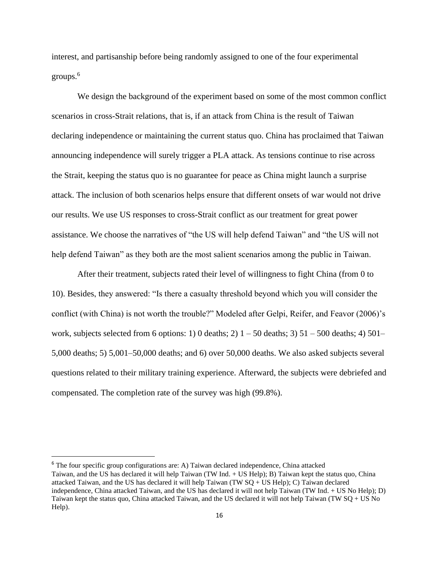interest, and partisanship before being randomly assigned to one of the four experimental groups.<sup>6</sup>

We design the background of the experiment based on some of the most common conflict scenarios in cross-Strait relations, that is, if an attack from China is the result of Taiwan declaring independence or maintaining the current status quo. China has proclaimed that Taiwan announcing independence will surely trigger a PLA attack. As tensions continue to rise across the Strait, keeping the status quo is no guarantee for peace as China might launch a surprise attack. The inclusion of both scenarios helps ensure that different onsets of war would not drive our results. We use US responses to cross-Strait conflict as our treatment for great power assistance. We choose the narratives of "the US will help defend Taiwan" and "the US will not help defend Taiwan" as they both are the most salient scenarios among the public in Taiwan.

After their treatment, subjects rated their level of willingness to fight China (from 0 to 10). Besides, they answered: "Is there a casualty threshold beyond which you will consider the conflict (with China) is not worth the trouble?" Modeled after Gelpi, Reifer, and Feavor (2006)'s work, subjects selected from 6 options: 1) 0 deaths; 2)  $1 - 50$  deaths; 3)  $51 - 500$  deaths; 4)  $501 -$ 5,000 deaths; 5) 5,001–50,000 deaths; and 6) over 50,000 deaths. We also asked subjects several questions related to their military training experience. Afterward, the subjects were debriefed and compensated. The completion rate of the survey was high (99.8%).

 $6$  The four specific group configurations are: A) Taiwan declared independence, China attacked Taiwan, and the US has declared it will help Taiwan (TW Ind. + US Help); B) Taiwan kept the status quo, China attacked Taiwan, and the US has declared it will help Taiwan (TW SQ + US Help); C) Taiwan declared independence, China attacked Taiwan, and the US has declared it will not help Taiwan (TW Ind. + US No Help); D) Taiwan kept the status quo, China attacked Taiwan, and the US declared it will not help Taiwan (TW SQ + US No Help).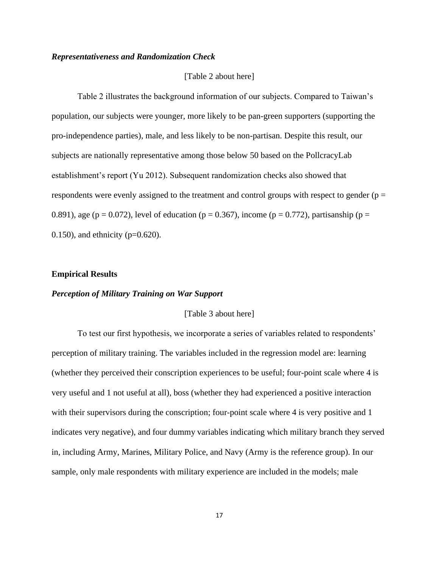# *Representativeness and Randomization Check*

# [Table 2 about here]

Table 2 illustrates the background information of our subjects. Compared to Taiwan's population, our subjects were younger, more likely to be pan-green supporters (supporting the pro-independence parties), male, and less likely to be non-partisan. Despite this result, our subjects are nationally representative among those below 50 based on the PollcracyLab establishment's report (Yu 2012). Subsequent randomization checks also showed that respondents were evenly assigned to the treatment and control groups with respect to gender ( $p =$ 0.891), age (p = 0.072), level of education (p = 0.367), income (p = 0.772), partisanship (p = 0.150), and ethnicity ( $p=0.620$ ).

#### **Empirical Results**

#### *Perception of Military Training on War Support*

#### [Table 3 about here]

To test our first hypothesis, we incorporate a series of variables related to respondents' perception of military training. The variables included in the regression model are: learning (whether they perceived their conscription experiences to be useful; four-point scale where 4 is very useful and 1 not useful at all), boss (whether they had experienced a positive interaction with their supervisors during the conscription; four-point scale where 4 is very positive and 1 indicates very negative), and four dummy variables indicating which military branch they served in, including Army, Marines, Military Police, and Navy (Army is the reference group). In our sample, only male respondents with military experience are included in the models; male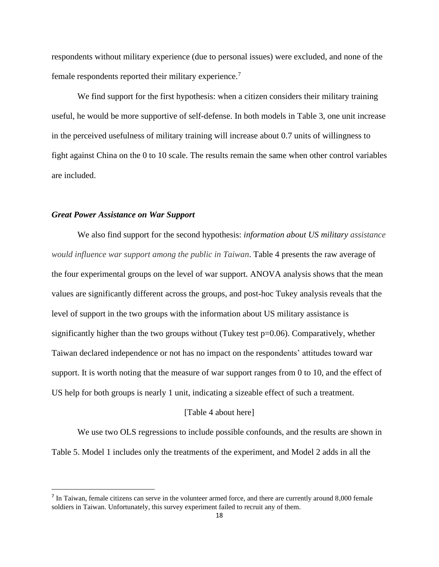respondents without military experience (due to personal issues) were excluded, and none of the female respondents reported their military experience.<sup>7</sup>

We find support for the first hypothesis: when a citizen considers their military training useful, he would be more supportive of self-defense. In both models in Table 3, one unit increase in the perceived usefulness of military training will increase about 0.7 units of willingness to fight against China on the 0 to 10 scale. The results remain the same when other control variables are included.

# *Great Power Assistance on War Support*

We also find support for the second hypothesis: *information about US military assistance would influence war support among the public in Taiwan*. Table 4 presents the raw average of the four experimental groups on the level of war support. ANOVA analysis shows that the mean values are significantly different across the groups, and post-hoc Tukey analysis reveals that the level of support in the two groups with the information about US military assistance is significantly higher than the two groups without (Tukey test p=0.06). Comparatively, whether Taiwan declared independence or not has no impact on the respondents' attitudes toward war support. It is worth noting that the measure of war support ranges from 0 to 10, and the effect of US help for both groups is nearly 1 unit, indicating a sizeable effect of such a treatment.

## [Table 4 about here]

We use two OLS regressions to include possible confounds, and the results are shown in Table 5. Model 1 includes only the treatments of the experiment, and Model 2 adds in all the

<sup>&</sup>lt;sup>7</sup> In Taiwan, female citizens can serve in the volunteer armed force, and there are currently around  $8,000$  female soldiers in Taiwan. Unfortunately, this survey experiment failed to recruit any of them.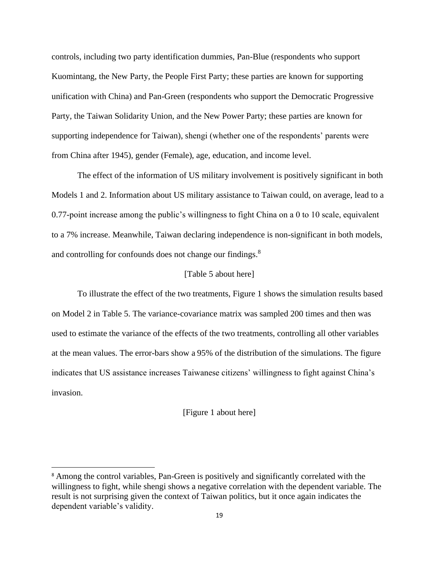controls, including two party identification dummies, Pan-Blue (respondents who support Kuomintang, the New Party, the People First Party; these parties are known for supporting unification with China) and Pan-Green (respondents who support the Democratic Progressive Party, the Taiwan Solidarity Union, and the New Power Party; these parties are known for supporting independence for Taiwan), shengi (whether one of the respondents' parents were from China after 1945), gender (Female), age, education, and income level.

The effect of the information of US military involvement is positively significant in both Models 1 and 2. Information about US military assistance to Taiwan could, on average, lead to a 0.77-point increase among the public's willingness to fight China on a 0 to 10 scale, equivalent to a 7% increase. Meanwhile, Taiwan declaring independence is non-significant in both models, and controlling for confounds does not change our findings.<sup>8</sup>

## [Table 5 about here]

To illustrate the effect of the two treatments, Figure 1 shows the simulation results based on Model 2 in Table 5. The variance-covariance matrix was sampled 200 times and then was used to estimate the variance of the effects of the two treatments, controlling all other variables at the mean values. The error-bars show a 95% of the distribution of the simulations. The figure indicates that US assistance increases Taiwanese citizens' willingness to fight against China's invasion.

#### [Figure 1 about here]

<sup>&</sup>lt;sup>8</sup> Among the control variables, Pan-Green is positively and significantly correlated with the willingness to fight, while shengi shows a negative correlation with the dependent variable. The result is not surprising given the context of Taiwan politics, but it once again indicates the dependent variable's validity.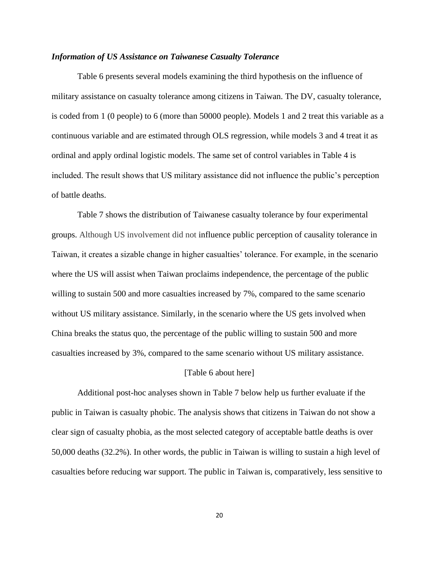## *Information of US Assistance on Taiwanese Casualty Tolerance*

Table 6 presents several models examining the third hypothesis on the influence of military assistance on casualty tolerance among citizens in Taiwan. The DV, casualty tolerance, is coded from 1 (0 people) to 6 (more than 50000 people). Models 1 and 2 treat this variable as a continuous variable and are estimated through OLS regression, while models 3 and 4 treat it as ordinal and apply ordinal logistic models. The same set of control variables in Table 4 is included. The result shows that US military assistance did not influence the public's perception of battle deaths.

Table 7 shows the distribution of Taiwanese casualty tolerance by four experimental groups. Although US involvement did not influence public perception of causality tolerance in Taiwan, it creates a sizable change in higher casualties' tolerance. For example, in the scenario where the US will assist when Taiwan proclaims independence, the percentage of the public willing to sustain 500 and more casualties increased by 7%, compared to the same scenario without US military assistance. Similarly, in the scenario where the US gets involved when China breaks the status quo, the percentage of the public willing to sustain 500 and more casualties increased by 3%, compared to the same scenario without US military assistance.

#### [Table 6 about here]

Additional post-hoc analyses shown in Table 7 below help us further evaluate if the public in Taiwan is casualty phobic. The analysis shows that citizens in Taiwan do not show a clear sign of casualty phobia, as the most selected category of acceptable battle deaths is over 50,000 deaths (32.2%). In other words, the public in Taiwan is willing to sustain a high level of casualties before reducing war support. The public in Taiwan is, comparatively, less sensitive to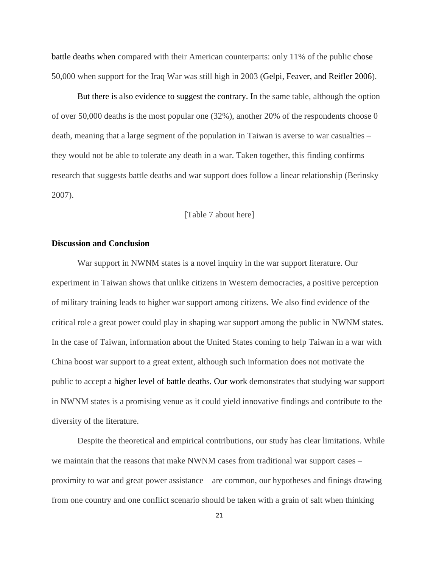battle deaths when compared with their American counterparts: only 11% of the public chose 50,000 when support for the Iraq War was still high in 2003 (Gelpi, Feaver, and Reifler 2006).

But there is also evidence to suggest the contrary. In the same table, although the option of over 50,000 deaths is the most popular one (32%), another 20% of the respondents choose 0 death, meaning that a large segment of the population in Taiwan is averse to war casualties – they would not be able to tolerate any death in a war. Taken together, this finding confirms research that suggests battle deaths and war support does follow a linear relationship (Berinsky 2007).

# [Table 7 about here]

# **Discussion and Conclusion**

War support in NWNM states is a novel inquiry in the war support literature. Our experiment in Taiwan shows that unlike citizens in Western democracies, a positive perception of military training leads to higher war support among citizens. We also find evidence of the critical role a great power could play in shaping war support among the public in NWNM states. In the case of Taiwan, information about the United States coming to help Taiwan in a war with China boost war support to a great extent, although such information does not motivate the public to accept a higher level of battle deaths. Our work demonstrates that studying war support in NWNM states is a promising venue as it could yield innovative findings and contribute to the diversity of the literature.

Despite the theoretical and empirical contributions, our study has clear limitations. While we maintain that the reasons that make NWNM cases from traditional war support cases – proximity to war and great power assistance – are common, our hypotheses and finings drawing from one country and one conflict scenario should be taken with a grain of salt when thinking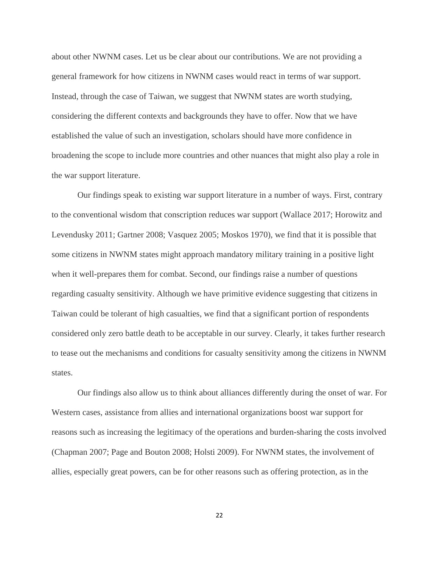about other NWNM cases. Let us be clear about our contributions. We are not providing a general framework for how citizens in NWNM cases would react in terms of war support. Instead, through the case of Taiwan, we suggest that NWNM states are worth studying, considering the different contexts and backgrounds they have to offer. Now that we have established the value of such an investigation, scholars should have more confidence in broadening the scope to include more countries and other nuances that might also play a role in the war support literature.

Our findings speak to existing war support literature in a number of ways. First, contrary to the conventional wisdom that conscription reduces war support (Wallace 2017; Horowitz and Levendusky 2011; Gartner 2008; Vasquez 2005; Moskos 1970), we find that it is possible that some citizens in NWNM states might approach mandatory military training in a positive light when it well-prepares them for combat. Second, our findings raise a number of questions regarding casualty sensitivity. Although we have primitive evidence suggesting that citizens in Taiwan could be tolerant of high casualties, we find that a significant portion of respondents considered only zero battle death to be acceptable in our survey. Clearly, it takes further research to tease out the mechanisms and conditions for casualty sensitivity among the citizens in NWNM states.

Our findings also allow us to think about alliances differently during the onset of war. For Western cases, assistance from allies and international organizations boost war support for reasons such as increasing the legitimacy of the operations and burden-sharing the costs involved (Chapman 2007; Page and Bouton 2008; Holsti 2009). For NWNM states, the involvement of allies, especially great powers, can be for other reasons such as offering protection, as in the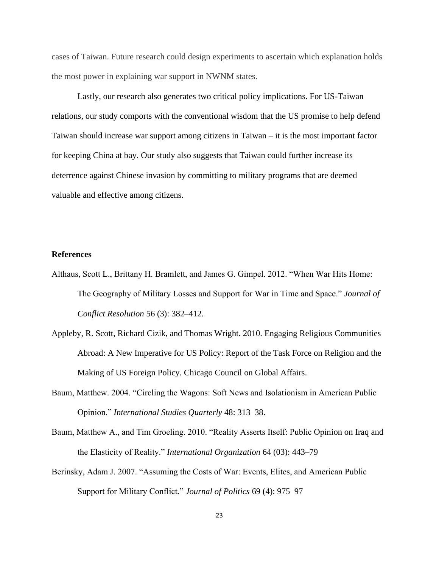cases of Taiwan. Future research could design experiments to ascertain which explanation holds the most power in explaining war support in NWNM states.

Lastly, our research also generates two critical policy implications. For US-Taiwan relations, our study comports with the conventional wisdom that the US promise to help defend Taiwan should increase war support among citizens in Taiwan – it is the most important factor for keeping China at bay. Our study also suggests that Taiwan could further increase its deterrence against Chinese invasion by committing to military programs that are deemed valuable and effective among citizens.

## **References**

- Althaus, Scott L., Brittany H. Bramlett, and James G. Gimpel. 2012. "When War Hits Home: The Geography of Military Losses and Support for War in Time and Space." *Journal of Conflict Resolution* 56 (3): 382–412.
- Appleby, R. Scott, Richard Cizik, and Thomas Wright. 2010. Engaging Religious Communities Abroad: A New Imperative for US Policy: Report of the Task Force on Religion and the Making of US Foreign Policy. Chicago Council on Global Affairs.
- Baum, Matthew. 2004. "Circling the Wagons: Soft News and Isolationism in American Public Opinion." *International Studies Quarterly* 48: 313–38.
- Baum, Matthew A., and Tim Groeling. 2010. "Reality Asserts Itself: Public Opinion on Iraq and the Elasticity of Reality." *International Organization* 64 (03): 443–79
- Berinsky, Adam J. 2007. "Assuming the Costs of War: Events, Elites, and American Public Support for Military Conflict." *Journal of Politics* 69 (4): 975–97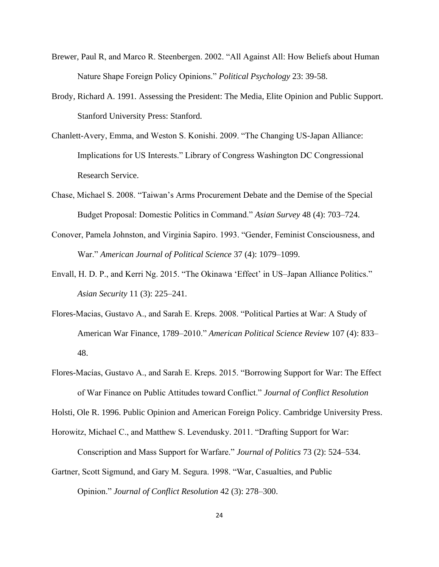- Brewer, Paul R, and Marco R. Steenbergen. 2002. "All Against All: How Beliefs about Human Nature Shape Foreign Policy Opinions." *Political Psychology* 23: 39-58.
- Brody, Richard A. 1991. Assessing the President: The Media, Elite Opinion and Public Support. Stanford University Press: Stanford.
- Chanlett-Avery, Emma, and Weston S. Konishi. 2009. "The Changing US-Japan Alliance: Implications for US Interests." Library of Congress Washington DC Congressional Research Service.
- Chase, Michael S. 2008. "Taiwan's Arms Procurement Debate and the Demise of the Special Budget Proposal: Domestic Politics in Command." *Asian Survey* 48 (4): 703–724.
- Conover, Pamela Johnston, and Virginia Sapiro. 1993. "Gender, Feminist Consciousness, and War." *American Journal of Political Science* 37 (4): 1079–1099.
- Envall, H. D. P., and Kerri Ng. 2015. "The Okinawa 'Effect' in US–Japan Alliance Politics." *Asian Security* 11 (3): 225–241.
- Flores-Macias, Gustavo A., and Sarah E. Kreps. 2008. "Political Parties at War: A Study of American War Finance, 1789–2010." *American Political Science Review* 107 (4): 833– 48.
- Flores-Macías, Gustavo A., and Sarah E. Kreps. 2015. "Borrowing Support for War: The Effect of War Finance on Public Attitudes toward Conflict." *Journal of Conflict Resolution*

Holsti, Ole R. 1996. Public Opinion and American Foreign Policy. Cambridge University Press.

Conscription and Mass Support for Warfare." *Journal of Politics* 73 (2): 524–534.

- Horowitz, Michael C., and Matthew S. Levendusky. 2011. "Drafting Support for War:
- Gartner, Scott Sigmund, and Gary M. Segura. 1998. "War, Casualties, and Public Opinion." *Journal of Conflict Resolution* 42 (3): 278–300.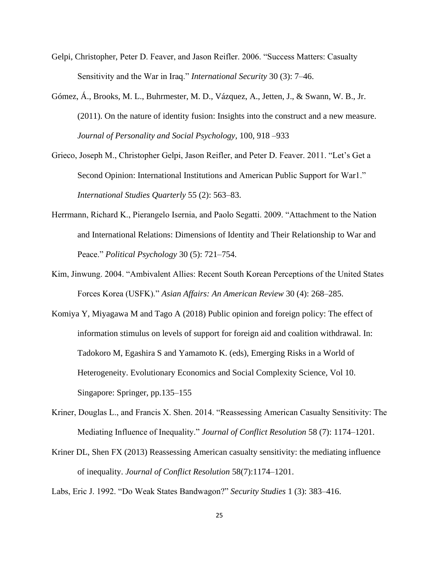- Gelpi, Christopher, Peter D. Feaver, and Jason Reifler. 2006. "Success Matters: Casualty Sensitivity and the War in Iraq." *International Security* 30 (3): 7–46.
- Gómez, Á., Brooks, M. L., Buhrmester, M. D., Vázquez, A., Jetten, J., & Swann, W. B., Jr. (2011). On the nature of identity fusion: Insights into the construct and a new measure. *Journal of Personality and Social Psychology*, 100, 918 –933
- Grieco, Joseph M., Christopher Gelpi, Jason Reifler, and Peter D. Feaver. 2011. "Let's Get a Second Opinion: International Institutions and American Public Support for War1." *International Studies Quarterly* 55 (2): 563–83.
- Herrmann, Richard K., Pierangelo Isernia, and Paolo Segatti. 2009. "Attachment to the Nation and International Relations: Dimensions of Identity and Their Relationship to War and Peace." *Political Psychology* 30 (5): 721–754.
- Kim, Jinwung. 2004. "Ambivalent Allies: Recent South Korean Perceptions of the United States Forces Korea (USFK)." *Asian Affairs: An American Review* 30 (4): 268–285.
- Komiya Y, Miyagawa M and Tago A (2018) Public opinion and foreign policy: The effect of information stimulus on levels of support for foreign aid and coalition withdrawal. In: Tadokoro M, Egashira S and Yamamoto K. (eds), Emerging Risks in a World of Heterogeneity. Evolutionary Economics and Social Complexity Science, Vol 10. Singapore: Springer, pp.135–155
- Kriner, Douglas L., and Francis X. Shen. 2014. "Reassessing American Casualty Sensitivity: The Mediating Influence of Inequality." *Journal of Conflict Resolution* 58 (7): 1174–1201.
- Kriner DL, Shen FX (2013) Reassessing American casualty sensitivity: the mediating influence of inequality. *Journal of Conflict Resolution* 58(7):1174–1201.
- Labs, Eric J. 1992. "Do Weak States Bandwagon?" *Security Studies* 1 (3): 383–416.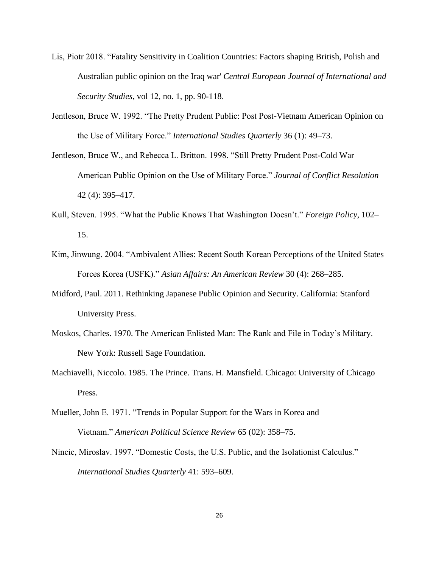- Lis, Piotr 2018. "Fatality Sensitivity in Coalition Countries: Factors shaping British, Polish and Australian public opinion on the Iraq war' *Central European Journal of International and Security Studies*, vol 12, no. 1, pp. 90-118.
- Jentleson, Bruce W. 1992. "The Pretty Prudent Public: Post Post-Vietnam American Opinion on the Use of Military Force." *International Studies Quarterly* 36 (1): 49–73.
- Jentleson, Bruce W., and Rebecca L. Britton. 1998. "Still Pretty Prudent Post-Cold War American Public Opinion on the Use of Military Force." *Journal of Conflict Resolution* 42 (4): 395–417.
- Kull, Steven. 1995. "What the Public Knows That Washington Doesn't." *Foreign Policy*, 102– 15.
- Kim, Jinwung. 2004. "Ambivalent Allies: Recent South Korean Perceptions of the United States Forces Korea (USFK)." *Asian Affairs: An American Review* 30 (4): 268–285.
- Midford, Paul. 2011. Rethinking Japanese Public Opinion and Security. California: Stanford University Press.
- Moskos, Charles. 1970. The American Enlisted Man: The Rank and File in Today's Military. New York: Russell Sage Foundation.
- Machiavelli, Niccolo. 1985. The Prince. Trans. H. Mansfield. Chicago: University of Chicago Press.
- Mueller, John E. 1971. "Trends in Popular Support for the Wars in Korea and Vietnam." *American Political Science Review* 65 (02): 358–75.
- Nincic, Miroslav. 1997. "Domestic Costs, the U.S. Public, and the Isolationist Calculus." *International Studies Quarterly* 41: 593–609.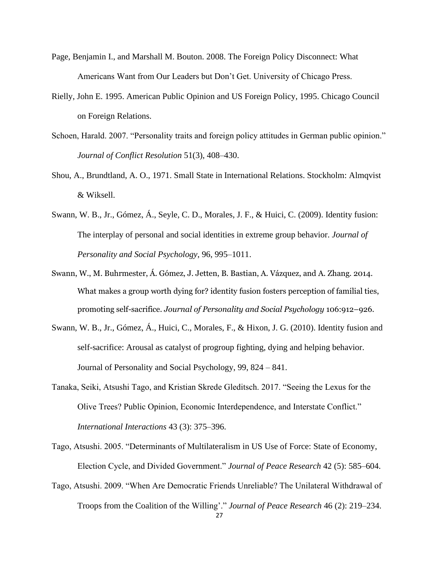- Page, Benjamin I., and Marshall M. Bouton. 2008. The Foreign Policy Disconnect: What Americans Want from Our Leaders but Don't Get. University of Chicago Press.
- Rielly, John E. 1995. American Public Opinion and US Foreign Policy, 1995. Chicago Council on Foreign Relations.
- Schoen, Harald. 2007. "Personality traits and foreign policy attitudes in German public opinion." *Journal of Conflict Resolution* 51(3), 408–430.
- Shou, A., Brundtland, A. O., 1971. Small State in International Relations. Stockholm: Almqvist & Wiksell.
- Swann, W. B., Jr., Gómez, Á., Seyle, C. D., Morales, J. F., & Huici, C. (2009). Identity fusion: The interplay of personal and social identities in extreme group behavior. *Journal of Personality and Social Psychology*, 96, 995–1011.
- Swann, W., M. Buhrmester, Á. Gómez, J. Jetten, B. Bastian, A. Vázquez, and A. Zhang. 2014. What makes a group worth dying for? identity fusion fosters perception of familial ties, promoting self-sacrifice. *Journal of Personality and Social Psychology* 106:912–926.
- Swann, W. B., Jr., Gómez, Á., Huici, C., Morales, F., & Hixon, J. G. (2010). Identity fusion and self-sacrifice: Arousal as catalyst of progroup fighting, dying and helping behavior. Journal of Personality and Social Psychology, 99, 824 – 841.
- Tanaka, Seiki, Atsushi Tago, and Kristian Skrede Gleditsch. 2017. "Seeing the Lexus for the Olive Trees? Public Opinion, Economic Interdependence, and Interstate Conflict." *International Interactions* 43 (3): 375–396.
- Tago, Atsushi. 2005. "Determinants of Multilateralism in US Use of Force: State of Economy, Election Cycle, and Divided Government." *Journal of Peace Research* 42 (5): 585–604.
- Tago, Atsushi. 2009. "When Are Democratic Friends Unreliable? The Unilateral Withdrawal of Troops from the Coalition of the Willing'." *Journal of Peace Research* 46 (2): 219–234.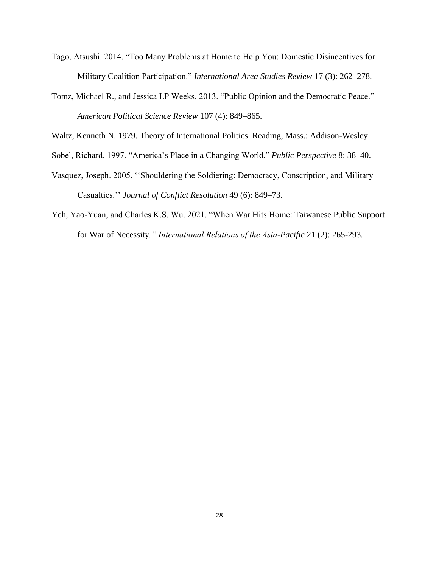- Tago, Atsushi. 2014. "Too Many Problems at Home to Help You: Domestic Disincentives for Military Coalition Participation." *International Area Studies Review* 17 (3): 262–278.
- Tomz, Michael R., and Jessica LP Weeks. 2013. "Public Opinion and the Democratic Peace." *American Political Science Review* 107 (4): 849–865.

Waltz, Kenneth N. 1979. Theory of International Politics. Reading, Mass.: Addison-Wesley.

- Sobel, Richard. 1997. "America's Place in a Changing World." *Public Perspective* 8: 38–40.
- Vasquez, Joseph. 2005. ''Shouldering the Soldiering: Democracy, Conscription, and Military Casualties.'' *Journal of Conflict Resolution* 49 (6): 849–73.
- Yeh, Yao-Yuan, and Charles K.S. Wu. 2021. "When War Hits Home: Taiwanese Public Support for War of Necessity*." International Relations of the Asia-Pacific* 21 (2): 265-293.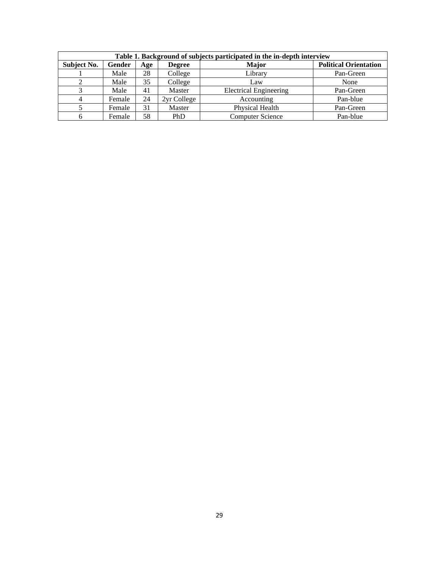| Table 1. Background of subjects participated in the in-depth interview |        |     |               |                               |                              |  |  |  |
|------------------------------------------------------------------------|--------|-----|---------------|-------------------------------|------------------------------|--|--|--|
| <b>Subject No.</b>                                                     | Gender | Age | <b>Degree</b> | <b>Major</b>                  | <b>Political Orientation</b> |  |  |  |
|                                                                        | Male   | 28  | College       | Library                       | Pan-Green                    |  |  |  |
|                                                                        | Male   | 35  | College       | Law                           | None                         |  |  |  |
|                                                                        | Male   | 41  | Master        | <b>Electrical Engineering</b> | Pan-Green                    |  |  |  |
|                                                                        | Female | 24  | 2yr College   | Accounting                    | Pan-blue                     |  |  |  |
|                                                                        | Female | 31  | Master        | Physical Health               | Pan-Green                    |  |  |  |
|                                                                        | Female | 58  | <b>PhD</b>    | <b>Computer Science</b>       | Pan-blue                     |  |  |  |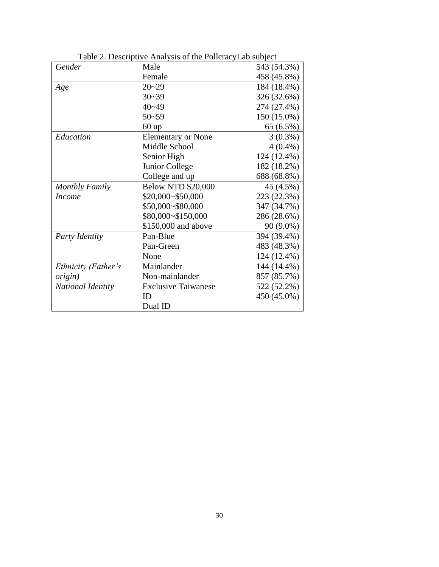| Gender                | Male                       | 543 (54.3%) |
|-----------------------|----------------------------|-------------|
|                       | Female                     | 458 (45.8%) |
| Age                   | $20 - 29$                  | 184 (18.4%) |
|                       | $30 - 39$                  | 326 (32.6%) |
|                       | $40 - 49$                  | 274 (27.4%) |
|                       | $50 - 59$                  | 150 (15.0%) |
|                       | $60$ up                    | 65(6.5%)    |
| Education             | <b>Elementary or None</b>  | $3(0.3\%)$  |
|                       | Middle School              | $4(0.4\%)$  |
|                       | Senior High                | 124 (12.4%) |
|                       | Junior College             | 182 (18.2%) |
|                       | College and up             | 688 (68.8%) |
| <b>Monthly Family</b> | <b>Below NTD \$20,000</b>  | 45 (4.5%)   |
| <b>Income</b>         | \$20,000~\$50,000          | 223 (22.3%) |
|                       | \$50,000~\$80,000          | 347 (34.7%) |
|                       | \$80,000~\$150,000         | 286 (28.6%) |
|                       | \$150,000 and above        | 90 (9.0%)   |
| Party Identity        | Pan-Blue                   | 394 (39.4%) |
|                       | Pan-Green                  | 483 (48.3%) |
|                       | None                       | 124 (12.4%) |
| Ethnicity (Father's   | Mainlander                 | 144 (14.4%) |
| <i>origin</i> )       | Non-mainlander             | 857 (85.7%) |
| National Identity     | <b>Exclusive Taiwanese</b> | 522 (52.2%) |
|                       | ID                         | 450 (45.0%) |
|                       | Dual ID                    |             |

Table 2. Descriptive Analysis of the PollcracyLab subject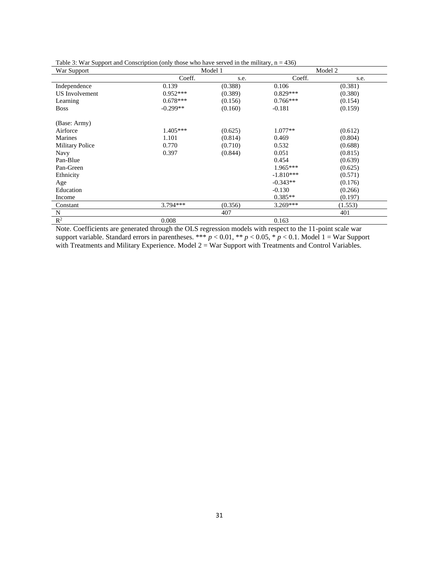| War Support            |            | Model 1 |             | Model 2 |
|------------------------|------------|---------|-------------|---------|
|                        | Coeff.     | s.e.    | Coeff.      | s.e.    |
| Independence           | 0.139      | (0.388) | 0.106       | (0.381) |
| <b>US</b> Involvement  | $0.952***$ | (0.389) | $0.829***$  | (0.380) |
| Learning               | $0.678***$ | (0.156) | $0.766***$  | (0.154) |
| <b>Boss</b>            | $-0.299**$ | (0.160) | $-0.181$    | (0.159) |
| (Base: Army)           |            |         |             |         |
| Airforce               | $1.405***$ | (0.625) | $1.077**$   | (0.612) |
| Marines                | 1.101      | (0.814) | 0.469       | (0.804) |
| <b>Military Police</b> | 0.770      | (0.710) | 0.532       | (0.688) |
| <b>Navy</b>            | 0.397      | (0.844) | 0.051       | (0.815) |
| Pan-Blue               |            |         | 0.454       | (0.639) |
| Pan-Green              |            |         | $1.965***$  | (0.625) |
| Ethnicity              |            |         | $-1.810***$ | (0.571) |
| Age                    |            |         | $-0.343**$  | (0.176) |
| Education              |            |         | $-0.130$    | (0.266) |
| Income                 |            |         | $0.385**$   | (0.197) |
| Constant               | 3.794***   | (0.356) | 3.269***    | (1.553) |
| N                      |            | 407     |             | 401     |
| $R^2$                  | 0.008      |         | 0.163       |         |

Table 3: War Support and Conscription (only those who have served in the military,  $n = 436$ )

Note. Coefficients are generated through the OLS regression models with respect to the 11-point scale war support variable. Standard errors in parentheses. \*\*\*  $p < 0.01$ , \*\*  $p < 0.05$ , \*  $p < 0.1$ . Model 1 = War Support with Treatments and Military Experience. Model 2 = War Support with Treatments and Control Variables.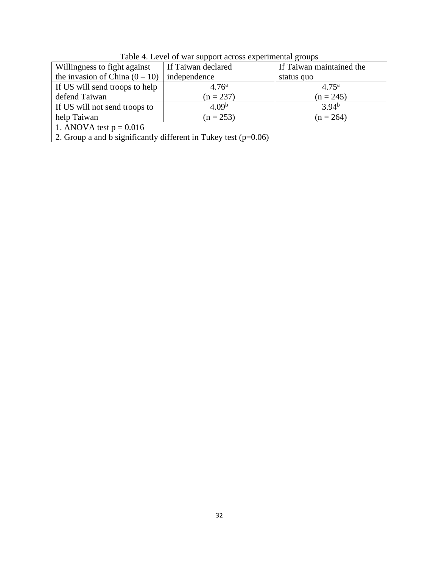| Tuble 1. Level of war support across experimental groups          |                    |                          |  |  |  |  |  |
|-------------------------------------------------------------------|--------------------|--------------------------|--|--|--|--|--|
| Willingness to fight against                                      | If Taiwan declared | If Taiwan maintained the |  |  |  |  |  |
| the invasion of China $(0 - 10)$                                  | independence       | status quo               |  |  |  |  |  |
| If US will send troops to help                                    | 4.76 <sup>a</sup>  | $4.75^{\rm a}$           |  |  |  |  |  |
| defend Taiwan                                                     | $(n = 237)$        | $(n = 245)$              |  |  |  |  |  |
| If US will not send troops to                                     | 4.09 <sup>b</sup>  | $3.94^{b}$               |  |  |  |  |  |
| help Taiwan<br>$(n = 253)$<br>$(n = 264)$                         |                    |                          |  |  |  |  |  |
| 1. ANOVA test $p = 0.016$                                         |                    |                          |  |  |  |  |  |
| 2. Group a and b significantly different in Tukey test $(p=0.06)$ |                    |                          |  |  |  |  |  |
|                                                                   |                    |                          |  |  |  |  |  |

Table 4. Level of war support across experimental groups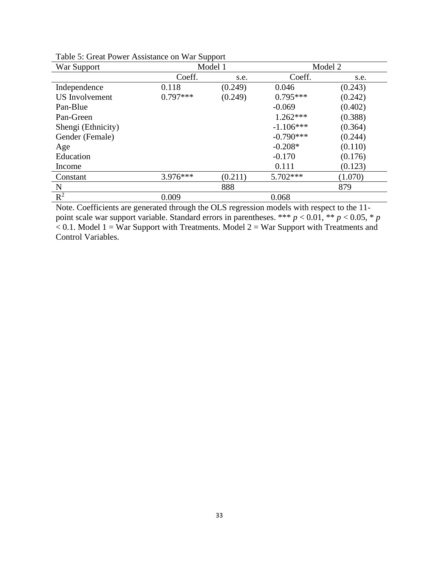| War Support               |            | Model 1 | Model 2     |         |  |
|---------------------------|------------|---------|-------------|---------|--|
|                           | Coeff.     | s.e.    | Coeff.      | s.e.    |  |
| Independence              | 0.118      | (0.249) | 0.046       | (0.243) |  |
| <b>US</b> Involvement     | $0.797***$ | (0.249) | $0.795***$  | (0.242) |  |
| Pan-Blue                  |            |         | $-0.069$    | (0.402) |  |
| Pan-Green                 |            |         | $1.262***$  | (0.388) |  |
| Shengi (Ethnicity)        |            |         | $-1.106***$ | (0.364) |  |
| Gender (Female)           |            |         | $-0.790***$ | (0.244) |  |
| Age                       |            |         | $-0.208*$   | (0.110) |  |
| Education                 |            |         | $-0.170$    | (0.176) |  |
| Income                    |            |         | 0.111       | (0.123) |  |
| Constant                  | 3.976***   | (0.211) | $5.702***$  | (1.070) |  |
| N                         |            | 888     |             | 879     |  |
| $\overline{\mathrm{R}^2}$ | 0.009      |         | 0.068       |         |  |

Table 5: Great Power Assistance on War Support

Note. Coefficients are generated through the OLS regression models with respect to the 11 point scale war support variable. Standard errors in parentheses. \*\*\* *p* < 0.01, \*\* *p* < 0.05, \* *p*  $< 0.1$ . Model  $1 = W$ ar Support with Treatments. Model  $2 = W$ ar Support with Treatments and Control Variables.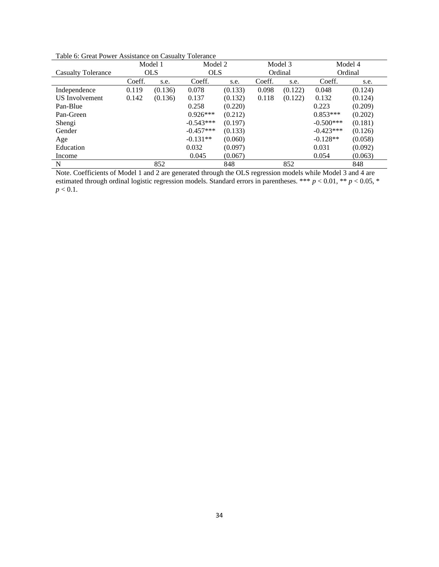| Table 6: Great Power Assistance on Casualty Tolerance |
|-------------------------------------------------------|
|-------------------------------------------------------|

|                           |        | Model 1    | Model 2     |         |        | Model 3 |             | Model 4 |
|---------------------------|--------|------------|-------------|---------|--------|---------|-------------|---------|
| <b>Casualty Tolerance</b> |        | <b>OLS</b> | <b>OLS</b>  |         |        | Ordinal |             | Ordinal |
|                           | Coeff. | s.e.       | Coeff.      | s.e.    | Coeff. | s.e.    | Coeff.      | s.e.    |
| Independence              | 0.119  | (0.136)    | 0.078       | (0.133) | 0.098  | (0.122) | 0.048       | (0.124) |
| <b>US</b> Involvement     | 0.142  | (0.136)    | 0.137       | (0.132) | 0.118  | (0.122) | 0.132       | (0.124) |
| Pan-Blue                  |        |            | 0.258       | (0.220) |        |         | 0.223       | (0.209) |
| Pan-Green                 |        |            | $0.926***$  | (0.212) |        |         | $0.853***$  | (0.202) |
| Shengi                    |        |            | $-0.543***$ | (0.197) |        |         | $-0.500***$ | (0.181) |
| Gender                    |        |            | $-0.457***$ | (0.133) |        |         | $-0.423***$ | (0.126) |
| Age                       |        |            | $-0.131**$  | (0.060) |        |         | $-0.128**$  | (0.058) |
| Education                 |        |            | 0.032       | (0.097) |        |         | 0.031       | (0.092) |
| Income                    |        |            | 0.045       | (0.067) |        |         | 0.054       | (0.063) |
| N                         |        | 852        |             | 848     |        | 852     |             | 848     |

Note. Coefficients of Model 1 and 2 are generated through the OLS regression models while Model 3 and 4 are estimated through ordinal logistic regression models. Standard errors in parentheses. \*\*\* *p* < 0.01, \*\* *p* < 0.05, \*  $p < 0.1$ .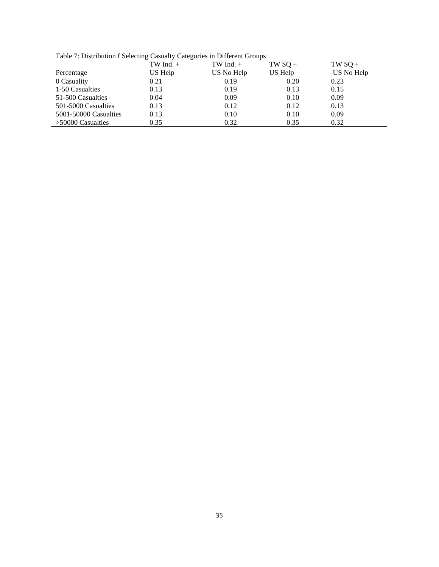Table 7: Distribution f Selecting Casualty Categories in Different Groups

|                       | TW Ind. $+$ | TW Ind. $+$ | $TWSQ +$ | $TW$ SQ +  |
|-----------------------|-------------|-------------|----------|------------|
| Percentage            | US Help     | US No Help  | US Help  | US No Help |
| 0 Casuality           | 0.21        | 0.19        | 0.20     | 0.23       |
| 1-50 Casualties       | 0.13        | 0.19        | 0.13     | 0.15       |
| 51-500 Casualties     | 0.04        | 0.09        | 0.10     | 0.09       |
| 501-5000 Casualties   | 0.13        | 0.12        | 0.12     | 0.13       |
| 5001-50000 Casualties | 0.13        | 0.10        | 0.10     | 0.09       |
| $>50000$ Casualties   | 0.35        | 0.32        | 0.35     | 0.32       |